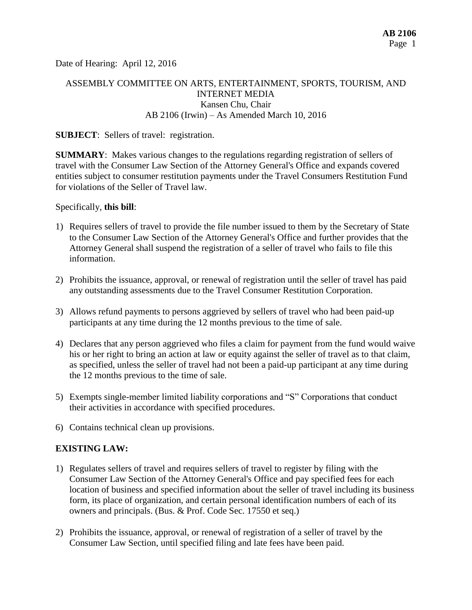Date of Hearing: April 12, 2016

# ASSEMBLY COMMITTEE ON ARTS, ENTERTAINMENT, SPORTS, TOURISM, AND INTERNET MEDIA Kansen Chu, Chair AB 2106 (Irwin) – As Amended March 10, 2016

#### **SUBJECT:** Sellers of travel: registration.

**SUMMARY**: Makes various changes to the regulations regarding registration of sellers of travel with the Consumer Law Section of the Attorney General's Office and expands covered entities subject to consumer restitution payments under the Travel Consumers Restitution Fund for violations of the Seller of Travel law.

Specifically, **this bill**:

- 1) Requires sellers of travel to provide the file number issued to them by the Secretary of State to the Consumer Law Section of the Attorney General's Office and further provides that the Attorney General shall suspend the registration of a seller of travel who fails to file this information.
- 2) Prohibits the issuance, approval, or renewal of registration until the seller of travel has paid any outstanding assessments due to the Travel Consumer Restitution Corporation.
- 3) Allows refund payments to persons aggrieved by sellers of travel who had been paid-up participants at any time during the 12 months previous to the time of sale.
- 4) Declares that any person aggrieved who files a claim for payment from the fund would waive his or her right to bring an action at law or equity against the seller of travel as to that claim, as specified, unless the seller of travel had not been a paid-up participant at any time during the 12 months previous to the time of sale.
- 5) Exempts single-member limited liability corporations and "S" Corporations that conduct their activities in accordance with specified procedures.
- 6) Contains technical clean up provisions.

### **EXISTING LAW:**

- 1) Regulates sellers of travel and requires sellers of travel to register by filing with the Consumer Law Section of the Attorney General's Office and pay specified fees for each location of business and specified information about the seller of travel including its business form, its place of organization, and certain personal identification numbers of each of its owners and principals. (Bus. & Prof. Code Sec. 17550 et seq.)
- 2) Prohibits the issuance, approval, or renewal of registration of a seller of travel by the Consumer Law Section, until specified filing and late fees have been paid.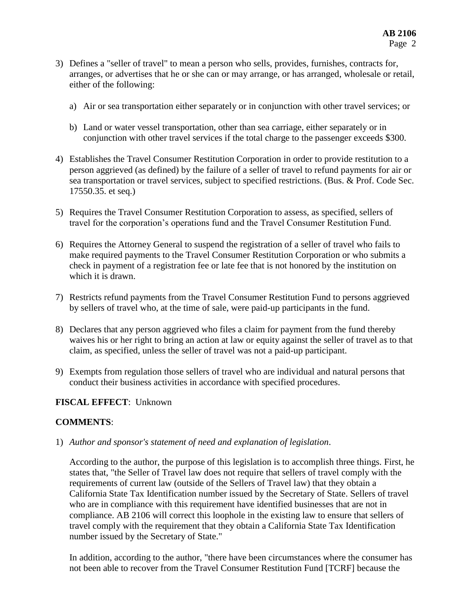- 3) Defines a "seller of travel" to mean a person who sells, provides, furnishes, contracts for, arranges, or advertises that he or she can or may arrange, or has arranged, wholesale or retail, either of the following:
	- a) Air or sea transportation either separately or in conjunction with other travel services; or
	- b) Land or water vessel transportation, other than sea carriage, either separately or in conjunction with other travel services if the total charge to the passenger exceeds \$300.
- 4) Establishes the Travel Consumer Restitution Corporation in order to provide restitution to a person aggrieved (as defined) by the failure of a seller of travel to refund payments for air or sea transportation or travel services, subject to specified restrictions. (Bus. & Prof. Code Sec. 17550.35. et seq.)
- 5) Requires the Travel Consumer Restitution Corporation to assess, as specified, sellers of travel for the corporation's operations fund and the Travel Consumer Restitution Fund.
- 6) Requires the Attorney General to suspend the registration of a seller of travel who fails to make required payments to the Travel Consumer Restitution Corporation or who submits a check in payment of a registration fee or late fee that is not honored by the institution on which it is drawn.
- 7) Restricts refund payments from the Travel Consumer Restitution Fund to persons aggrieved by sellers of travel who, at the time of sale, were paid-up participants in the fund.
- 8) Declares that any person aggrieved who files a claim for payment from the fund thereby waives his or her right to bring an action at law or equity against the seller of travel as to that claim, as specified, unless the seller of travel was not a paid-up participant.
- 9) Exempts from regulation those sellers of travel who are individual and natural persons that conduct their business activities in accordance with specified procedures.

# **FISCAL EFFECT**: Unknown

# **COMMENTS**:

1) *Author and sponsor's statement of need and explanation of legislation*.

According to the author, the purpose of this legislation is to accomplish three things. First, he states that, "the Seller of Travel law does not require that sellers of travel comply with the requirements of current law (outside of the Sellers of Travel law) that they obtain a California State Tax Identification number issued by the Secretary of State. Sellers of travel who are in compliance with this requirement have identified businesses that are not in compliance. AB 2106 will correct this loophole in the existing law to ensure that sellers of travel comply with the requirement that they obtain a California State Tax Identification number issued by the Secretary of State."

In addition, according to the author, "there have been circumstances where the consumer has not been able to recover from the Travel Consumer Restitution Fund [TCRF] because the